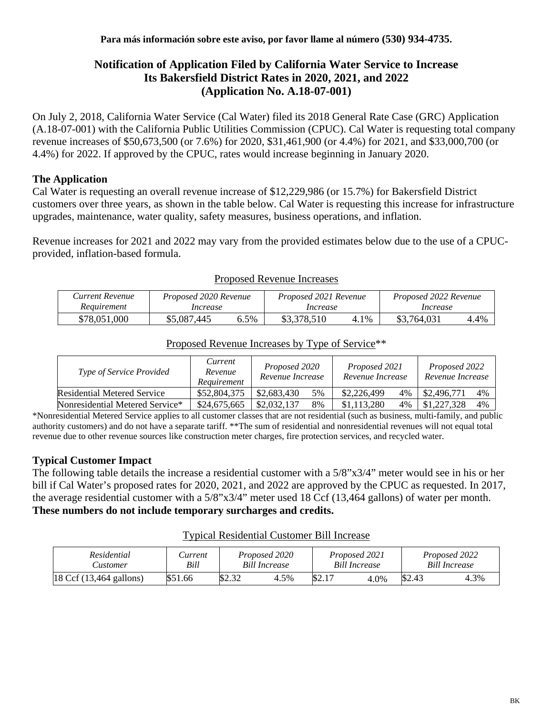# **Notification of Application Filed by California Water Service to Increase Its Bakersfield District Rates in 2020, 2021, and 2022 (Application No. A.18-07-001)**

On July 2, 2018, California Water Service (Cal Water) filed its 2018 General Rate Case (GRC) Application (A.18-07-001) with the California Public Utilities Commission (CPUC). Cal Water is requesting total company revenue increases of \$50,673,500 (or 7.6%) for 2020, \$31,461,900 (or 4.4%) for 2021, and \$33,000,700 (or 4.4%) for 2022. If approved by the CPUC, rates would increase beginning in January 2020.

# **The Application**

Cal Water is requesting an overall revenue increase of \$12,229,986 (or 15.7%) for Bakersfield District customers over three years, as shown in the table below. Cal Water is requesting this increase for infrastructure upgrades, maintenance, water quality, safety measures, business operations, and inflation.

Revenue increases for 2021 and 2022 may vary from the provided estimates below due to the use of a CPUCprovided, inflation-based formula.

| Current Revenue | Proposed 2020 Revenue |      | Proposed 2021 Revenue |      | Proposed 2022 Revenue |      |  |
|-----------------|-----------------------|------|-----------------------|------|-----------------------|------|--|
| Requirement     | Increase              |      | Increase              |      | Increase              |      |  |
| \$78,051,000    | \$5,087,445           | 6.5% | \$3,378,510           | 4.1% | \$3,764,031           | 4.4% |  |

#### Proposed Revenue Increases

### Proposed Revenue Increases by Type of Service\*\*

| Type of Service Provided           | Current<br>Revenue<br>Requirement |             | Proposed 2020<br>Revenue Increase |             | Proposed 2021<br>Revenue Increase |             | Proposed 2022<br>Revenue Increase |  |
|------------------------------------|-----------------------------------|-------------|-----------------------------------|-------------|-----------------------------------|-------------|-----------------------------------|--|
| <b>Residential Metered Service</b> | \$52,804,375                      | \$2,683,430 | 5%                                | \$2,226,499 | 4%                                | \$2,496,771 | 4%                                |  |
| Nonresidential Metered Service*    | \$24,675,665                      | \$2,032,137 | 8%                                | \$1,113,280 | 4%                                | \$1,227,328 | 4%                                |  |

\*Nonresidential Metered Service applies to all customer classes that are not residential (such as business, multi-family, and public authority customers) and do not have a separate tariff. \*\*The sum of residential and nonresidential revenues will not equal total revenue due to other revenue sources like construction meter charges, fire protection services, and recycled water.

### **Typical Customer Impact**

The following table details the increase a residential customer with a 5/8"x3/4" meter would see in his or her bill if Cal Water's proposed rates for 2020, 2021, and 2022 are approved by the CPUC as requested. In 2017, the average residential customer with a 5/8"x3/4" meter used 18 Ccf (13,464 gallons) of water per month. **These numbers do not include temporary surcharges and credits.**

#### Typical Residential Customer Bill Increase

| Residential<br><b>Eustomer</b>             | Current<br>Bill | Proposed 2020<br><b>Bill Increase</b> |      |       | Proposed 2021<br>Bill Increase |        | Proposed 2022<br>Bill Increase |  |
|--------------------------------------------|-----------------|---------------------------------------|------|-------|--------------------------------|--------|--------------------------------|--|
| $18 \text{ Ccf } (13,464 \text{ gallons})$ | \$51.66         | \$2.32                                | 4.5% | \$2.1 | 4.0%                           | \$2.43 | 4.3%                           |  |